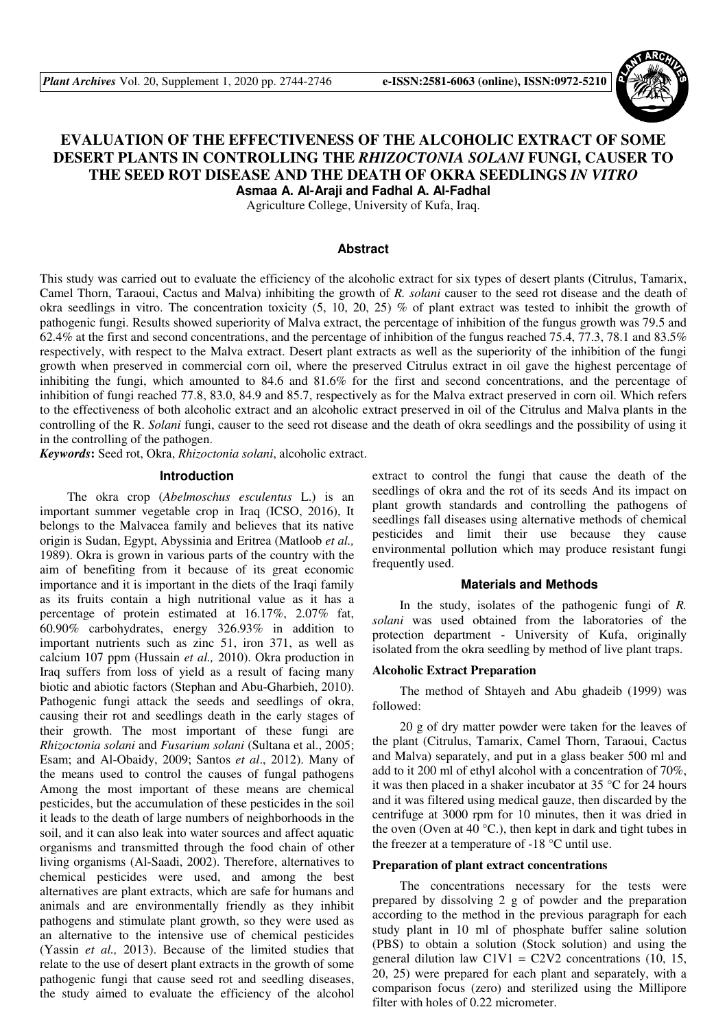

# **EVALUATION OF THE EFFECTIVENESS OF THE ALCOHOLIC EXTRACT OF SOME DESERT PLANTS IN CONTROLLING THE** *RHIZOCTONIA SOLANI* **FUNGI, CAUSER TO THE SEED ROT DISEASE AND THE DEATH OF OKRA SEEDLINGS** *IN VITRO* **Asmaa A. Al-Araji and Fadhal A. Al-Fadhal**

Agriculture College, University of Kufa, Iraq.

#### **Abstract**

This study was carried out to evaluate the efficiency of the alcoholic extract for six types of desert plants (Citrulus, Tamarix, Camel Thorn, Taraoui, Cactus and Malva) inhibiting the growth of *R. solani* causer to the seed rot disease and the death of okra seedlings in vitro. The concentration toxicity (5, 10, 20, 25) % of plant extract was tested to inhibit the growth of pathogenic fungi. Results showed superiority of Malva extract, the percentage of inhibition of the fungus growth was 79.5 and 62.4% at the first and second concentrations, and the percentage of inhibition of the fungus reached 75.4, 77.3, 78.1 and 83.5% respectively, with respect to the Malva extract. Desert plant extracts as well as the superiority of the inhibition of the fungi growth when preserved in commercial corn oil, where the preserved Citrulus extract in oil gave the highest percentage of inhibiting the fungi, which amounted to 84.6 and 81.6% for the first and second concentrations, and the percentage of inhibition of fungi reached 77.8, 83.0, 84.9 and 85.7, respectively as for the Malva extract preserved in corn oil. Which refers to the effectiveness of both alcoholic extract and an alcoholic extract preserved in oil of the Citrulus and Malva plants in the controlling of the R. *Solani* fungi, causer to the seed rot disease and the death of okra seedlings and the possibility of using it in the controlling of the pathogen.

*Keywords***:** Seed rot, Okra, *Rhizoctonia solani*, alcoholic extract.

## **Introduction**

The okra crop (*Abelmoschus esculentus* L.) is an important summer vegetable crop in Iraq (ICSO, 2016), It belongs to the Malvacea family and believes that its native origin is Sudan, Egypt, Abyssinia and Eritrea (Matloob *et al.,* 1989). Okra is grown in various parts of the country with the aim of benefiting from it because of its great economic importance and it is important in the diets of the Iraqi family as its fruits contain a high nutritional value as it has a percentage of protein estimated at 16.17%, 2.07% fat, 60.90% carbohydrates, energy 326.93% in addition to important nutrients such as zinc 51, iron 371, as well as calcium 107 ppm (Hussain *et al.,* 2010). Okra production in Iraq suffers from loss of yield as a result of facing many biotic and abiotic factors (Stephan and Abu-Gharbieh, 2010). Pathogenic fungi attack the seeds and seedlings of okra, causing their rot and seedlings death in the early stages of their growth. The most important of these fungi are *Rhizoctonia solani* and *Fusarium solani* (Sultana et al., 2005; Esam; and Al-Obaidy, 2009; Santos *et al*., 2012). Many of the means used to control the causes of fungal pathogens Among the most important of these means are chemical pesticides, but the accumulation of these pesticides in the soil it leads to the death of large numbers of neighborhoods in the soil, and it can also leak into water sources and affect aquatic organisms and transmitted through the food chain of other living organisms (Al-Saadi, 2002). Therefore, alternatives to chemical pesticides were used, and among the best alternatives are plant extracts, which are safe for humans and animals and are environmentally friendly as they inhibit pathogens and stimulate plant growth, so they were used as an alternative to the intensive use of chemical pesticides (Yassin *et al.,* 2013). Because of the limited studies that relate to the use of desert plant extracts in the growth of some pathogenic fungi that cause seed rot and seedling diseases, the study aimed to evaluate the efficiency of the alcohol

extract to control the fungi that cause the death of the seedlings of okra and the rot of its seeds And its impact on plant growth standards and controlling the pathogens of seedlings fall diseases using alternative methods of chemical pesticides and limit their use because they cause environmental pollution which may produce resistant fungi frequently used.

#### **Materials and Methods**

In the study, isolates of the pathogenic fungi of *R. solani* was used obtained from the laboratories of the protection department - University of Kufa, originally isolated from the okra seedling by method of live plant traps.

#### **Alcoholic Extract Preparation**

The method of Shtayeh and Abu ghadeib (1999) was followed:

20 g of dry matter powder were taken for the leaves of the plant (Citrulus, Tamarix, Camel Thorn, Taraoui, Cactus and Malva) separately, and put in a glass beaker 500 ml and add to it 200 ml of ethyl alcohol with a concentration of 70%, it was then placed in a shaker incubator at 35 °C for 24 hours and it was filtered using medical gauze, then discarded by the centrifuge at 3000 rpm for 10 minutes, then it was dried in the oven (Oven at 40  $^{\circ}$ C.), then kept in dark and tight tubes in the freezer at a temperature of  $-18$  °C until use.

#### **Preparation of plant extract concentrations**

The concentrations necessary for the tests were prepared by dissolving 2 g of powder and the preparation according to the method in the previous paragraph for each study plant in 10 ml of phosphate buffer saline solution (PBS) to obtain a solution (Stock solution) and using the general dilution law  $C1V1 = C2V2$  concentrations (10, 15, 20, 25) were prepared for each plant and separately, with a comparison focus (zero) and sterilized using the Millipore filter with holes of 0.22 micrometer.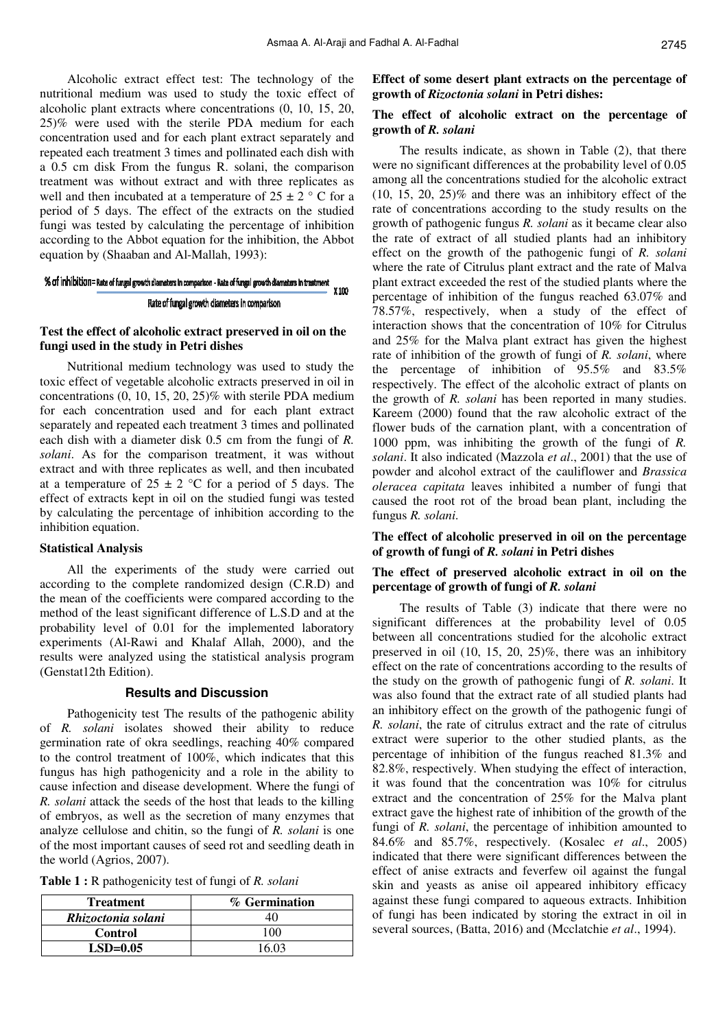Alcoholic extract effect test: The technology of the nutritional medium was used to study the toxic effect of alcoholic plant extracts where concentrations (0, 10, 15, 20, 25)% were used with the sterile PDA medium for each concentration used and for each plant extract separately and repeated each treatment 3 times and pollinated each dish with a 0.5 cm disk From the fungus R. solani, the comparison treatment was without extract and with three replicates as well and then incubated at a temperature of  $25 \pm 2$  ° C for a period of 5 days. The effect of the extracts on the studied fungi was tested by calculating the percentage of inhibition according to the Abbot equation for the inhibition, the Abbot equation by (Shaaban and Al-Mallah, 1993):

#### % of inhibition= Rate of fungal growth diameters in comparison - Rate of fungal growth diameters in treatment X100 Rate of fungal growth diameters in comparison

#### **Test the effect of alcoholic extract preserved in oil on the fungi used in the study in Petri dishes**

Nutritional medium technology was used to study the toxic effect of vegetable alcoholic extracts preserved in oil in concentrations (0, 10, 15, 20, 25)% with sterile PDA medium for each concentration used and for each plant extract separately and repeated each treatment 3 times and pollinated each dish with a diameter disk 0.5 cm from the fungi of *R. solani*. As for the comparison treatment, it was without extract and with three replicates as well, and then incubated at a temperature of  $25 \pm 2$  °C for a period of 5 days. The effect of extracts kept in oil on the studied fungi was tested by calculating the percentage of inhibition according to the inhibition equation.

#### **Statistical Analysis**

All the experiments of the study were carried out according to the complete randomized design (C.R.D) and the mean of the coefficients were compared according to the method of the least significant difference of L.S.D and at the probability level of 0.01 for the implemented laboratory experiments (Al-Rawi and Khalaf Allah, 2000), and the results were analyzed using the statistical analysis program (Genstat12th Edition).

#### **Results and Discussion**

Pathogenicity test The results of the pathogenic ability of *R. solani* isolates showed their ability to reduce germination rate of okra seedlings, reaching 40% compared to the control treatment of 100%, which indicates that this fungus has high pathogenicity and a role in the ability to cause infection and disease development. Where the fungi of *R. solani* attack the seeds of the host that leads to the killing of embryos, as well as the secretion of many enzymes that analyze cellulose and chitin, so the fungi of *R. solani* is one of the most important causes of seed rot and seedling death in the world (Agrios, 2007).

**Table 1 :** R pathogenicity test of fungi of *R. solani* 

| <b>Treatment</b>   | % Germination |
|--------------------|---------------|
| Rhizoctonia solani |               |
| Control            | ' 06          |
| $LSD=0.05$         | 16 03         |

**Effect of some desert plant extracts on the percentage of growth of** *Rizoctonia solani* **in Petri dishes:** 

# **The effect of alcoholic extract on the percentage of growth of** *R. solani*

The results indicate, as shown in Table (2), that there were no significant differences at the probability level of 0.05 among all the concentrations studied for the alcoholic extract  $(10, 15, 20, 25)\%$  and there was an inhibitory effect of the rate of concentrations according to the study results on the growth of pathogenic fungus *R. solani* as it became clear also the rate of extract of all studied plants had an inhibitory effect on the growth of the pathogenic fungi of *R. solani* where the rate of Citrulus plant extract and the rate of Malva plant extract exceeded the rest of the studied plants where the percentage of inhibition of the fungus reached 63.07% and 78.57%, respectively, when a study of the effect of interaction shows that the concentration of 10% for Citrulus and 25% for the Malva plant extract has given the highest rate of inhibition of the growth of fungi of *R. solani*, where the percentage of inhibition of 95.5% and 83.5% respectively. The effect of the alcoholic extract of plants on the growth of *R. solani* has been reported in many studies. Kareem (2000) found that the raw alcoholic extract of the flower buds of the carnation plant, with a concentration of 1000 ppm, was inhibiting the growth of the fungi of *R. solani*. It also indicated (Mazzola *et al*., 2001) that the use of powder and alcohol extract of the cauliflower and *Brassica oleracea capitata* leaves inhibited a number of fungi that caused the root rot of the broad bean plant, including the fungus *R. solani*.

#### **The effect of alcoholic preserved in oil on the percentage of growth of fungi of** *R. solani* **in Petri dishes**

## **The effect of preserved alcoholic extract in oil on the percentage of growth of fungi of** *R. solani*

The results of Table (3) indicate that there were no significant differences at the probability level of 0.05 between all concentrations studied for the alcoholic extract preserved in oil (10, 15, 20, 25)%, there was an inhibitory effect on the rate of concentrations according to the results of the study on the growth of pathogenic fungi of *R. solani*. It was also found that the extract rate of all studied plants had an inhibitory effect on the growth of the pathogenic fungi of *R. solani*, the rate of citrulus extract and the rate of citrulus extract were superior to the other studied plants, as the percentage of inhibition of the fungus reached 81.3% and 82.8%, respectively. When studying the effect of interaction, it was found that the concentration was 10% for citrulus extract and the concentration of 25% for the Malva plant extract gave the highest rate of inhibition of the growth of the fungi of *R. solani*, the percentage of inhibition amounted to 84.6% and 85.7%, respectively. (Kosalec *et al*., 2005) indicated that there were significant differences between the effect of anise extracts and feverfew oil against the fungal skin and yeasts as anise oil appeared inhibitory efficacy against these fungi compared to aqueous extracts. Inhibition of fungi has been indicated by storing the extract in oil in several sources, (Batta, 2016) and (Mcclatchie *et al*., 1994).